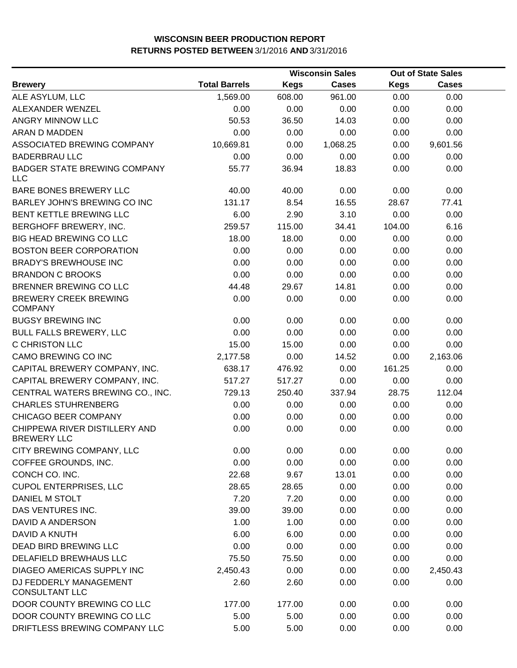|                                                     |                      |             | <b>Wisconsin Sales</b> | <b>Out of State Sales</b> |              |  |
|-----------------------------------------------------|----------------------|-------------|------------------------|---------------------------|--------------|--|
| <b>Brewery</b>                                      | <b>Total Barrels</b> | <b>Kegs</b> | <b>Cases</b>           | <b>Kegs</b>               | <b>Cases</b> |  |
| ALE ASYLUM, LLC                                     | 1,569.00             | 608.00      | 961.00                 | 0.00                      | 0.00         |  |
| ALEXANDER WENZEL                                    | 0.00                 | 0.00        | 0.00                   | 0.00                      | 0.00         |  |
| ANGRY MINNOW LLC                                    | 50.53                | 36.50       | 14.03                  | 0.00                      | 0.00         |  |
| ARAN D MADDEN                                       | 0.00                 | 0.00        | 0.00                   | 0.00                      | 0.00         |  |
| ASSOCIATED BREWING COMPANY                          | 10,669.81            | 0.00        | 1,068.25               | 0.00                      | 9,601.56     |  |
| <b>BADERBRAU LLC</b>                                | 0.00                 | 0.00        | 0.00                   | 0.00                      | 0.00         |  |
| <b>BADGER STATE BREWING COMPANY</b><br><b>LLC</b>   | 55.77                | 36.94       | 18.83                  | 0.00                      | 0.00         |  |
| <b>BARE BONES BREWERY LLC</b>                       | 40.00                | 40.00       | 0.00                   | 0.00                      | 0.00         |  |
| BARLEY JOHN'S BREWING CO INC                        | 131.17               | 8.54        | 16.55                  | 28.67                     | 77.41        |  |
| BENT KETTLE BREWING LLC                             | 6.00                 | 2.90        | 3.10                   | 0.00                      | 0.00         |  |
| BERGHOFF BREWERY, INC.                              | 259.57               | 115.00      | 34.41                  | 104.00                    | 6.16         |  |
| <b>BIG HEAD BREWING CO LLC</b>                      | 18.00                | 18.00       | 0.00                   | 0.00                      | 0.00         |  |
| <b>BOSTON BEER CORPORATION</b>                      | 0.00                 | 0.00        | 0.00                   | 0.00                      | 0.00         |  |
| <b>BRADY'S BREWHOUSE INC</b>                        | 0.00                 | 0.00        | 0.00                   | 0.00                      | 0.00         |  |
| <b>BRANDON C BROOKS</b>                             | 0.00                 | 0.00        | 0.00                   | 0.00                      | 0.00         |  |
| <b>BRENNER BREWING CO LLC</b>                       | 44.48                | 29.67       | 14.81                  | 0.00                      | 0.00         |  |
| <b>BREWERY CREEK BREWING</b><br><b>COMPANY</b>      | 0.00                 | 0.00        | 0.00                   | 0.00                      | 0.00         |  |
| <b>BUGSY BREWING INC</b>                            | 0.00                 | 0.00        | 0.00                   | 0.00                      | 0.00         |  |
| <b>BULL FALLS BREWERY, LLC</b>                      | 0.00                 | 0.00        | 0.00                   | 0.00                      | 0.00         |  |
| C CHRISTON LLC                                      | 15.00                | 15.00       | 0.00                   | 0.00                      | 0.00         |  |
| CAMO BREWING CO INC                                 | 2,177.58             | 0.00        | 14.52                  | 0.00                      | 2,163.06     |  |
| CAPITAL BREWERY COMPANY, INC.                       | 638.17               | 476.92      | 0.00                   | 161.25                    | 0.00         |  |
| CAPITAL BREWERY COMPANY, INC.                       | 517.27               | 517.27      | 0.00                   | 0.00                      | 0.00         |  |
| CENTRAL WATERS BREWING CO., INC.                    | 729.13               | 250.40      | 337.94                 | 28.75                     | 112.04       |  |
| <b>CHARLES STUHRENBERG</b>                          | 0.00                 | 0.00        | 0.00                   | 0.00                      | 0.00         |  |
| CHICAGO BEER COMPANY                                | 0.00                 | 0.00        | 0.00                   | 0.00                      | 0.00         |  |
| CHIPPEWA RIVER DISTILLERY AND<br><b>BREWERY LLC</b> | 0.00                 | 0.00        | 0.00                   | 0.00                      | 0.00         |  |
| CITY BREWING COMPANY, LLC                           | 0.00                 | 0.00        | 0.00                   | 0.00                      | 0.00         |  |
| COFFEE GROUNDS, INC.                                | 0.00                 | 0.00        | 0.00                   | 0.00                      | 0.00         |  |
| CONCH CO. INC.                                      | 22.68                | 9.67        | 13.01                  | 0.00                      | 0.00         |  |
| <b>CUPOL ENTERPRISES, LLC</b>                       | 28.65                | 28.65       | 0.00                   | 0.00                      | 0.00         |  |
| DANIEL M STOLT                                      | 7.20                 | 7.20        | 0.00                   | 0.00                      | 0.00         |  |
| DAS VENTURES INC.                                   | 39.00                | 39.00       | 0.00                   | 0.00                      | 0.00         |  |
| DAVID A ANDERSON                                    | 1.00                 | 1.00        | 0.00                   | 0.00                      | 0.00         |  |
| DAVID A KNUTH                                       | 6.00                 | 6.00        | 0.00                   | 0.00                      | 0.00         |  |
| DEAD BIRD BREWING LLC                               | 0.00                 | 0.00        | 0.00                   | 0.00                      | 0.00         |  |
| DELAFIELD BREWHAUS LLC                              | 75.50                | 75.50       | 0.00                   | 0.00                      | 0.00         |  |
| DIAGEO AMERICAS SUPPLY INC                          | 2,450.43             | 0.00        | 0.00                   | 0.00                      | 2,450.43     |  |
| DJ FEDDERLY MANAGEMENT<br><b>CONSULTANT LLC</b>     | 2.60                 | 2.60        | 0.00                   | 0.00                      | 0.00         |  |
| DOOR COUNTY BREWING CO LLC                          | 177.00               | 177.00      | 0.00                   | 0.00                      | 0.00         |  |
| DOOR COUNTY BREWING CO LLC                          | 5.00                 | 5.00        | 0.00                   | 0.00                      | 0.00         |  |
| DRIFTLESS BREWING COMPANY LLC                       | 5.00                 | 5.00        | 0.00                   | 0.00                      | 0.00         |  |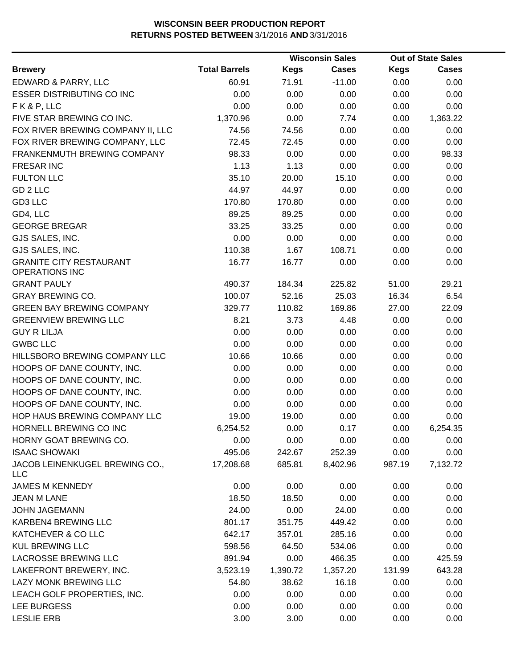|                                                         |                      |             | <b>Wisconsin Sales</b> |             | <b>Out of State Sales</b> |  |
|---------------------------------------------------------|----------------------|-------------|------------------------|-------------|---------------------------|--|
| <b>Brewery</b>                                          | <b>Total Barrels</b> | <b>Kegs</b> | Cases                  | <b>Kegs</b> | <b>Cases</b>              |  |
| EDWARD & PARRY, LLC                                     | 60.91                | 71.91       | $-11.00$               | 0.00        | 0.00                      |  |
| <b>ESSER DISTRIBUTING CO INC</b>                        | 0.00                 | 0.00        | 0.00                   | 0.00        | 0.00                      |  |
| FK&P, LLC                                               | 0.00                 | 0.00        | 0.00                   | 0.00        | 0.00                      |  |
| FIVE STAR BREWING CO INC.                               | 1,370.96             | 0.00        | 7.74                   | 0.00        | 1,363.22                  |  |
| FOX RIVER BREWING COMPANY II, LLC                       | 74.56                | 74.56       | 0.00                   | 0.00        | 0.00                      |  |
| FOX RIVER BREWING COMPANY, LLC                          | 72.45                | 72.45       | 0.00                   | 0.00        | 0.00                      |  |
| FRANKENMUTH BREWING COMPANY                             | 98.33                | 0.00        | 0.00                   | 0.00        | 98.33                     |  |
| <b>FRESAR INC</b>                                       | 1.13                 | 1.13        | 0.00                   | 0.00        | 0.00                      |  |
| <b>FULTON LLC</b>                                       | 35.10                | 20.00       | 15.10                  | 0.00        | 0.00                      |  |
| GD 2 LLC                                                | 44.97                | 44.97       | 0.00                   | 0.00        | 0.00                      |  |
| GD3 LLC                                                 | 170.80               | 170.80      | 0.00                   | 0.00        | 0.00                      |  |
| GD4, LLC                                                | 89.25                | 89.25       | 0.00                   | 0.00        | 0.00                      |  |
| <b>GEORGE BREGAR</b>                                    | 33.25                | 33.25       | 0.00                   | 0.00        | 0.00                      |  |
| GJS SALES, INC.                                         | 0.00                 | 0.00        | 0.00                   | 0.00        | 0.00                      |  |
| GJS SALES, INC.                                         | 110.38               | 1.67        | 108.71                 | 0.00        | 0.00                      |  |
| <b>GRANITE CITY RESTAURANT</b><br><b>OPERATIONS INC</b> | 16.77                | 16.77       | 0.00                   | 0.00        | 0.00                      |  |
| <b>GRANT PAULY</b>                                      | 490.37               | 184.34      | 225.82                 | 51.00       | 29.21                     |  |
| <b>GRAY BREWING CO.</b>                                 | 100.07               | 52.16       | 25.03                  | 16.34       | 6.54                      |  |
| <b>GREEN BAY BREWING COMPANY</b>                        | 329.77               | 110.82      | 169.86                 | 27.00       | 22.09                     |  |
| <b>GREENVIEW BREWING LLC</b>                            | 8.21                 | 3.73        | 4.48                   | 0.00        | 0.00                      |  |
| <b>GUY R LILJA</b>                                      | 0.00                 | 0.00        | 0.00                   | 0.00        | 0.00                      |  |
| <b>GWBC LLC</b>                                         | 0.00                 | 0.00        | 0.00                   | 0.00        | 0.00                      |  |
| HILLSBORO BREWING COMPANY LLC                           | 10.66                | 10.66       | 0.00                   | 0.00        | 0.00                      |  |
| HOOPS OF DANE COUNTY, INC.                              | 0.00                 | 0.00        | 0.00                   | 0.00        | 0.00                      |  |
| HOOPS OF DANE COUNTY, INC.                              | 0.00                 | 0.00        | 0.00                   | 0.00        | 0.00                      |  |
| HOOPS OF DANE COUNTY, INC.                              | 0.00                 | 0.00        | 0.00                   | 0.00        | 0.00                      |  |
| HOOPS OF DANE COUNTY, INC.                              | 0.00                 | 0.00        | 0.00                   | 0.00        | 0.00                      |  |
| HOP HAUS BREWING COMPANY LLC                            | 19.00                | 19.00       | 0.00                   | 0.00        | 0.00                      |  |
| HORNELL BREWING CO INC                                  | 6,254.52             | 0.00        | 0.17                   | 0.00        | 6,254.35                  |  |
| HORNY GOAT BREWING CO.                                  | 0.00                 | 0.00        | 0.00                   | 0.00        | 0.00                      |  |
| <b>ISAAC SHOWAKI</b>                                    | 495.06               | 242.67      | 252.39                 | 0.00        | 0.00                      |  |
| JACOB LEINENKUGEL BREWING CO.,<br><b>LLC</b>            | 17,208.68            | 685.81      | 8,402.96               | 987.19      | 7,132.72                  |  |
| <b>JAMES M KENNEDY</b>                                  | 0.00                 | 0.00        | 0.00                   | 0.00        | 0.00                      |  |
| JEAN M LANE                                             | 18.50                | 18.50       | 0.00                   | 0.00        | 0.00                      |  |
| <b>JOHN JAGEMANN</b>                                    | 24.00                | 0.00        | 24.00                  | 0.00        | 0.00                      |  |
| KARBEN4 BREWING LLC                                     | 801.17               | 351.75      | 449.42                 | 0.00        | 0.00                      |  |
| KATCHEVER & CO LLC                                      | 642.17               | 357.01      | 285.16                 | 0.00        | 0.00                      |  |
| <b>KUL BREWING LLC</b>                                  | 598.56               | 64.50       | 534.06                 | 0.00        | 0.00                      |  |
| LACROSSE BREWING LLC                                    | 891.94               | 0.00        | 466.35                 | 0.00        | 425.59                    |  |
| LAKEFRONT BREWERY, INC.                                 | 3,523.19             | 1,390.72    | 1,357.20               | 131.99      | 643.28                    |  |
| LAZY MONK BREWING LLC                                   | 54.80                | 38.62       | 16.18                  | 0.00        | 0.00                      |  |
| LEACH GOLF PROPERTIES, INC.                             | 0.00                 | 0.00        | 0.00                   | 0.00        | 0.00                      |  |
| LEE BURGESS                                             | 0.00                 | 0.00        | 0.00                   | 0.00        | 0.00                      |  |
| <b>LESLIE ERB</b>                                       | 3.00                 | 3.00        | 0.00                   | 0.00        | 0.00                      |  |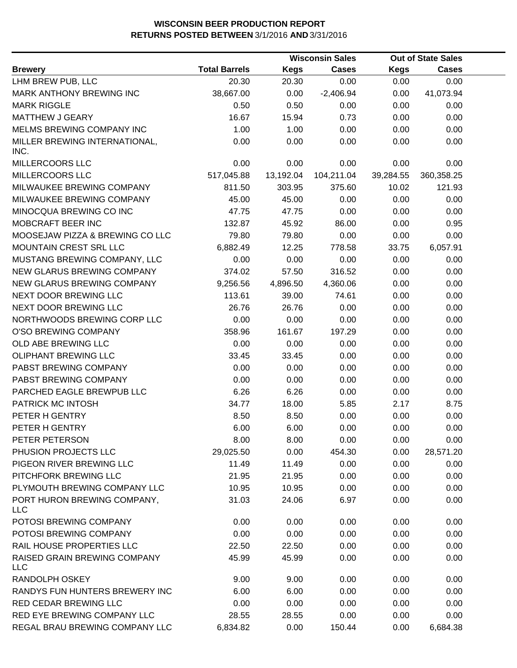|                                                   |                      |             | <b>Wisconsin Sales</b> |             | <b>Out of State Sales</b> |  |  |
|---------------------------------------------------|----------------------|-------------|------------------------|-------------|---------------------------|--|--|
| <b>Brewery</b>                                    | <b>Total Barrels</b> | <b>Kegs</b> | <b>Cases</b>           | <b>Kegs</b> | <b>Cases</b>              |  |  |
| LHM BREW PUB, LLC                                 | 20.30                | 20.30       | 0.00                   | 0.00        | 0.00                      |  |  |
| MARK ANTHONY BREWING INC                          | 38,667.00            | 0.00        | $-2,406.94$            | 0.00        | 41,073.94                 |  |  |
| <b>MARK RIGGLE</b>                                | 0.50                 | 0.50        | 0.00                   | 0.00        | 0.00                      |  |  |
| <b>MATTHEW J GEARY</b>                            | 16.67                | 15.94       | 0.73                   | 0.00        | 0.00                      |  |  |
| MELMS BREWING COMPANY INC                         | 1.00                 | 1.00        | 0.00                   | 0.00        | 0.00                      |  |  |
| MILLER BREWING INTERNATIONAL,<br>INC.             | 0.00                 | 0.00        | 0.00                   | 0.00        | 0.00                      |  |  |
| MILLERCOORS LLC                                   | 0.00                 | 0.00        | 0.00                   | 0.00        | 0.00                      |  |  |
| MILLERCOORS LLC                                   | 517,045.88           | 13,192.04   | 104,211.04             | 39,284.55   | 360,358.25                |  |  |
| MILWAUKEE BREWING COMPANY                         | 811.50               | 303.95      | 375.60                 | 10.02       | 121.93                    |  |  |
| MILWAUKEE BREWING COMPANY                         | 45.00                | 45.00       | 0.00                   | 0.00        | 0.00                      |  |  |
| MINOCQUA BREWING CO INC                           | 47.75                | 47.75       | 0.00                   | 0.00        | 0.00                      |  |  |
| MOBCRAFT BEER INC                                 | 132.87               | 45.92       | 86.00                  | 0.00        | 0.95                      |  |  |
| MOOSEJAW PIZZA & BREWING CO LLC                   | 79.80                | 79.80       | 0.00                   | 0.00        | 0.00                      |  |  |
| MOUNTAIN CREST SRL LLC                            | 6,882.49             | 12.25       | 778.58                 | 33.75       | 6,057.91                  |  |  |
| MUSTANG BREWING COMPANY, LLC                      | 0.00                 | 0.00        | 0.00                   | 0.00        | 0.00                      |  |  |
| NEW GLARUS BREWING COMPANY                        | 374.02               | 57.50       | 316.52                 | 0.00        | 0.00                      |  |  |
| NEW GLARUS BREWING COMPANY                        | 9,256.56             | 4,896.50    | 4,360.06               | 0.00        | 0.00                      |  |  |
| NEXT DOOR BREWING LLC                             | 113.61               | 39.00       | 74.61                  | 0.00        | 0.00                      |  |  |
| NEXT DOOR BREWING LLC                             | 26.76                | 26.76       | 0.00                   | 0.00        | 0.00                      |  |  |
| NORTHWOODS BREWING CORP LLC                       | 0.00                 | 0.00        | 0.00                   | 0.00        | 0.00                      |  |  |
| O'SO BREWING COMPANY                              | 358.96               | 161.67      | 197.29                 | 0.00        | 0.00                      |  |  |
| OLD ABE BREWING LLC                               | 0.00                 | 0.00        | 0.00                   | 0.00        | 0.00                      |  |  |
| <b>OLIPHANT BREWING LLC</b>                       | 33.45                | 33.45       | 0.00                   | 0.00        | 0.00                      |  |  |
| PABST BREWING COMPANY                             | 0.00                 | 0.00        | 0.00                   | 0.00        | 0.00                      |  |  |
| PABST BREWING COMPANY                             | 0.00                 | 0.00        | 0.00                   | 0.00        | 0.00                      |  |  |
| PARCHED EAGLE BREWPUB LLC                         | 6.26                 | 6.26        | 0.00                   | 0.00        | 0.00                      |  |  |
| PATRICK MC INTOSH                                 | 34.77                | 18.00       | 5.85                   | 2.17        | 8.75                      |  |  |
| PETER H GENTRY                                    | 8.50                 | 8.50        | 0.00                   | 0.00        | 0.00                      |  |  |
| PETER H GENTRY                                    | 6.00                 | 6.00        | 0.00                   | 0.00        | 0.00                      |  |  |
| PETER PETERSON                                    | 8.00                 | 8.00        | 0.00                   | 0.00        | 0.00                      |  |  |
| PHUSION PROJECTS LLC                              | 29,025.50            | 0.00        | 454.30                 | 0.00        | 28,571.20                 |  |  |
| PIGEON RIVER BREWING LLC                          | 11.49                | 11.49       | 0.00                   | 0.00        | 0.00                      |  |  |
| PITCHFORK BREWING LLC                             | 21.95                | 21.95       | 0.00                   | 0.00        | 0.00                      |  |  |
| PLYMOUTH BREWING COMPANY LLC                      | 10.95                | 10.95       | 0.00                   | 0.00        | 0.00                      |  |  |
| PORT HURON BREWING COMPANY,<br><b>LLC</b>         | 31.03                | 24.06       | 6.97                   | 0.00        | 0.00                      |  |  |
| POTOSI BREWING COMPANY                            | 0.00                 | 0.00        | 0.00                   | 0.00        | 0.00                      |  |  |
| POTOSI BREWING COMPANY                            | 0.00                 | 0.00        | 0.00                   | 0.00        | 0.00                      |  |  |
| RAIL HOUSE PROPERTIES LLC                         | 22.50                | 22.50       | 0.00                   | 0.00        | 0.00                      |  |  |
| <b>RAISED GRAIN BREWING COMPANY</b><br><b>LLC</b> | 45.99                | 45.99       | 0.00                   | 0.00        | 0.00                      |  |  |
| RANDOLPH OSKEY                                    | 9.00                 | 9.00        | 0.00                   | 0.00        | 0.00                      |  |  |
| RANDYS FUN HUNTERS BREWERY INC                    | 6.00                 | 6.00        | 0.00                   | 0.00        | 0.00                      |  |  |
| <b>RED CEDAR BREWING LLC</b>                      | 0.00                 | 0.00        | 0.00                   | 0.00        | 0.00                      |  |  |
| RED EYE BREWING COMPANY LLC                       | 28.55                | 28.55       | 0.00                   | 0.00        | 0.00                      |  |  |
| REGAL BRAU BREWING COMPANY LLC                    | 6,834.82             | 0.00        | 150.44                 | 0.00        | 6,684.38                  |  |  |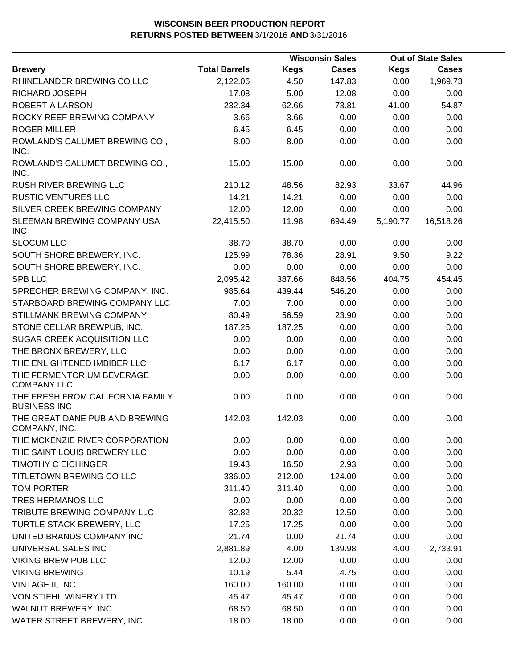|                                                         |                      |             | <b>Wisconsin Sales</b> |             | <b>Out of State Sales</b> |  |
|---------------------------------------------------------|----------------------|-------------|------------------------|-------------|---------------------------|--|
| <b>Brewery</b>                                          | <b>Total Barrels</b> | <b>Kegs</b> | <b>Cases</b>           | <b>Kegs</b> | <b>Cases</b>              |  |
| RHINELANDER BREWING CO LLC                              | 2,122.06             | 4.50        | 147.83                 | 0.00        | 1,969.73                  |  |
| RICHARD JOSEPH                                          | 17.08                | 5.00        | 12.08                  | 0.00        | 0.00                      |  |
| ROBERT A LARSON                                         | 232.34               | 62.66       | 73.81                  | 41.00       | 54.87                     |  |
| ROCKY REEF BREWING COMPANY                              | 3.66                 | 3.66        | 0.00                   | 0.00        | 0.00                      |  |
| <b>ROGER MILLER</b>                                     | 6.45                 | 6.45        | 0.00                   | 0.00        | 0.00                      |  |
| ROWLAND'S CALUMET BREWING CO.,<br>INC.                  | 8.00                 | 8.00        | 0.00                   | 0.00        | 0.00                      |  |
| ROWLAND'S CALUMET BREWING CO.,<br>INC.                  | 15.00                | 15.00       | 0.00                   | 0.00        | 0.00                      |  |
| RUSH RIVER BREWING LLC                                  | 210.12               | 48.56       | 82.93                  | 33.67       | 44.96                     |  |
| <b>RUSTIC VENTURES LLC</b>                              | 14.21                | 14.21       | 0.00                   | 0.00        | 0.00                      |  |
| SILVER CREEK BREWING COMPANY                            | 12.00                | 12.00       | 0.00                   | 0.00        | 0.00                      |  |
| SLEEMAN BREWING COMPANY USA<br><b>INC</b>               | 22,415.50            | 11.98       | 694.49                 | 5,190.77    | 16,518.26                 |  |
| <b>SLOCUM LLC</b>                                       | 38.70                | 38.70       | 0.00                   | 0.00        | 0.00                      |  |
| SOUTH SHORE BREWERY, INC.                               | 125.99               | 78.36       | 28.91                  | 9.50        | 9.22                      |  |
| SOUTH SHORE BREWERY, INC.                               | 0.00                 | 0.00        | 0.00                   | 0.00        | 0.00                      |  |
| <b>SPB LLC</b>                                          | 2,095.42             | 387.66      | 848.56                 | 404.75      | 454.45                    |  |
| SPRECHER BREWING COMPANY, INC.                          | 985.64               | 439.44      | 546.20                 | 0.00        | 0.00                      |  |
| STARBOARD BREWING COMPANY LLC                           | 7.00                 | 7.00        | 0.00                   | 0.00        | 0.00                      |  |
| STILLMANK BREWING COMPANY                               | 80.49                | 56.59       | 23.90                  | 0.00        | 0.00                      |  |
| STONE CELLAR BREWPUB, INC.                              | 187.25               | 187.25      | 0.00                   | 0.00        | 0.00                      |  |
| SUGAR CREEK ACQUISITION LLC                             | 0.00                 | 0.00        | 0.00                   | 0.00        | 0.00                      |  |
| THE BRONX BREWERY, LLC                                  | 0.00                 | 0.00        | 0.00                   | 0.00        | 0.00                      |  |
| THE ENLIGHTENED IMBIBER LLC                             | 6.17                 | 6.17        | 0.00                   | 0.00        | 0.00                      |  |
| THE FERMENTORIUM BEVERAGE<br><b>COMPANY LLC</b>         | 0.00                 | 0.00        | 0.00                   | 0.00        | 0.00                      |  |
| THE FRESH FROM CALIFORNIA FAMILY<br><b>BUSINESS INC</b> | 0.00                 | 0.00        | 0.00                   | 0.00        | 0.00                      |  |
| THE GREAT DANE PUB AND BREWING<br>COMPANY, INC.         | 142.03               | 142.03      | 0.00                   | 0.00        | 0.00                      |  |
| THE MCKENZIE RIVER CORPORATION                          | 0.00                 | 0.00        | 0.00                   | 0.00        | 0.00                      |  |
| THE SAINT LOUIS BREWERY LLC                             | 0.00                 | 0.00        | 0.00                   | 0.00        | 0.00                      |  |
| <b>TIMOTHY C EICHINGER</b>                              | 19.43                | 16.50       | 2.93                   | 0.00        | 0.00                      |  |
| TITLETOWN BREWING CO LLC                                | 336.00               | 212.00      | 124.00                 | 0.00        | 0.00                      |  |
| TOM PORTER                                              | 311.40               | 311.40      | 0.00                   | 0.00        | 0.00                      |  |
| TRES HERMANOS LLC                                       | 0.00                 | 0.00        | 0.00                   | 0.00        | 0.00                      |  |
| TRIBUTE BREWING COMPANY LLC                             | 32.82                | 20.32       | 12.50                  | 0.00        | 0.00                      |  |
| TURTLE STACK BREWERY, LLC                               | 17.25                | 17.25       | 0.00                   | 0.00        | 0.00                      |  |
| UNITED BRANDS COMPANY INC                               | 21.74                | 0.00        | 21.74                  | 0.00        | 0.00                      |  |
| UNIVERSAL SALES INC                                     | 2,881.89             | 4.00        | 139.98                 | 4.00        | 2,733.91                  |  |
| <b>VIKING BREW PUB LLC</b>                              | 12.00                | 12.00       | 0.00                   | 0.00        | 0.00                      |  |
| <b>VIKING BREWING</b>                                   | 10.19                | 5.44        | 4.75                   | 0.00        | 0.00                      |  |
| VINTAGE II, INC.                                        | 160.00               | 160.00      | 0.00                   | 0.00        | 0.00                      |  |
| VON STIEHL WINERY LTD.                                  | 45.47                | 45.47       | 0.00                   | 0.00        | 0.00                      |  |
| WALNUT BREWERY, INC.                                    | 68.50                | 68.50       | 0.00                   | 0.00        | 0.00                      |  |
| WATER STREET BREWERY, INC.                              | 18.00                | 18.00       | 0.00                   | 0.00        | 0.00                      |  |